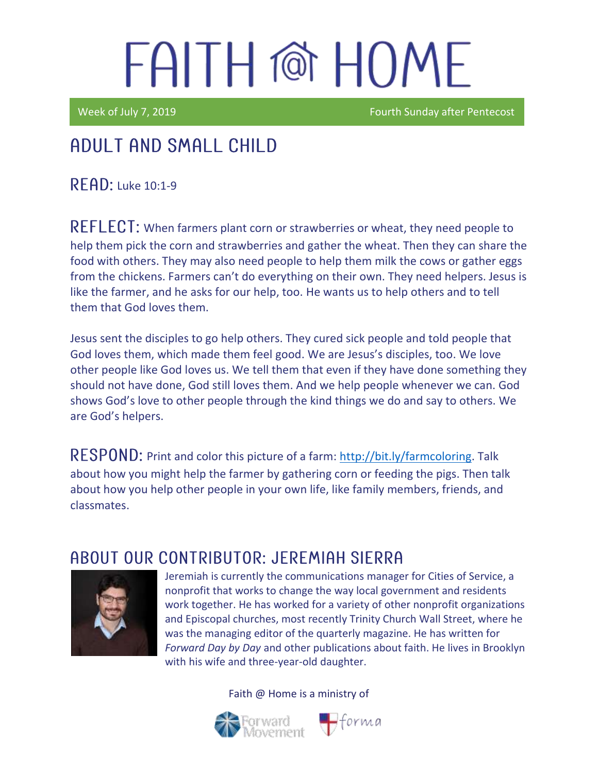# FAITH @ HOME

Week of July 7, 2019 **Fourth Sunday after Pentecost** 

## Adult and Small Child

**READ:** Luke 10:1-9

REFLECT: When farmers plant corn or strawberries or wheat, they need people to help them pick the corn and strawberries and gather the wheat. Then they can share the food with others. They may also need people to help them milk the cows or gather eggs from the chickens. Farmers can't do everything on their own. They need helpers. Jesus is like the farmer, and he asks for our help, too. He wants us to help others and to tell them that God loves them.

Jesus sent the disciples to go help others. They cured sick people and told people that God loves them, which made them feel good. We are Jesus's disciples, too. We love other people like God loves us. We tell them that even if they have done something they should not have done, God still loves them. And we help people whenever we can. God shows God's love to other people through the kind things we do and say to others. We are God's helpers.

RESPOND: Print and color this picture of a farm: [http://bit.ly/farmcoloring.](http://bit.ly/farmcoloring) Talk about how you might help the farmer by gathering corn or feeding the pigs. Then talk about how you help other people in your own life, like family members, friends, and classmates.

### ABOUT OUR CONTRIBUTOR: JEREMIAH SIERRA



Jeremiah is currently the communications manager for Cities of Service, a nonprofit that works to change the way local government and residents work together. He has worked for a variety of other nonprofit organizations and Episcopal churches, most recently Trinity Church Wall Street, where he was the managing editor of the quarterly magazine. He has written for *Forward Day by Day* and other publications about faith. He lives in Brooklyn with his wife and three-year-old daughter.

 $\bigoplus$ forma

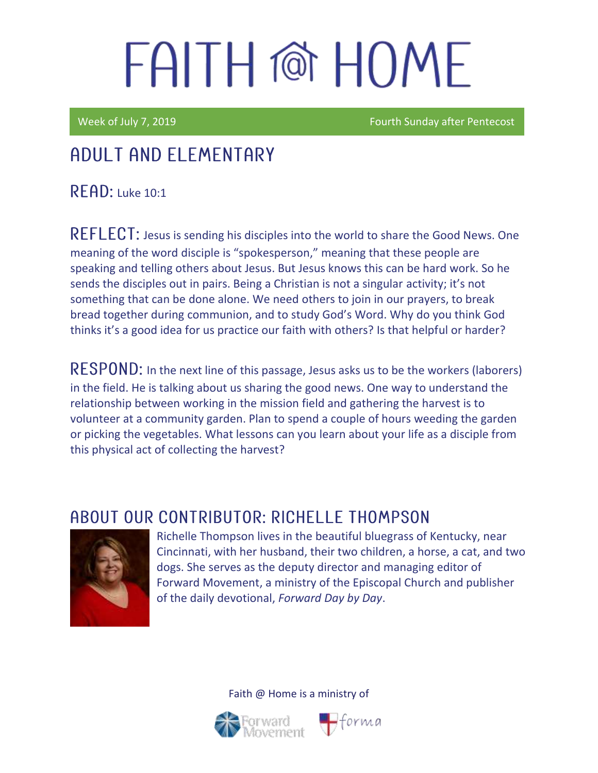# FAITH @ HOMF

Week of July 7, 2019 **Fourth Sunday after Pentecost** 

## Adult and elementary

**READ:** Luke 10:1

REFLECT: Jesus is sending his disciples into the world to share the Good News. One meaning of the word disciple is "spokesperson," meaning that these people are speaking and telling others about Jesus. But Jesus knows this can be hard work. So he sends the disciples out in pairs. Being a Christian is not a singular activity; it's not something that can be done alone. We need others to join in our prayers, to break bread together during communion, and to study God's Word. Why do you think God thinks it's a good idea for us practice our faith with others? Is that helpful or harder?

RESPOND: In the next line of this passage, Jesus asks us to be the workers (laborers) in the field. He is talking about us sharing the good news. One way to understand the relationship between working in the mission field and gathering the harvest is to volunteer at a community garden. Plan to spend a couple of hours weeding the garden or picking the vegetables. What lessons can you learn about your life as a disciple from this physical act of collecting the harvest?

### ABOUT OUR CONTRIBUTOR: RICHELLE THOMPSON



Richelle Thompson lives in the beautiful bluegrass of Kentucky, near Cincinnati, with her husband, their two children, a horse, a cat, and two dogs. She serves as the deputy director and managing editor of Forward Movement, a ministry of the Episcopal Church and publisher of the daily devotional, *Forward Day by Day*.



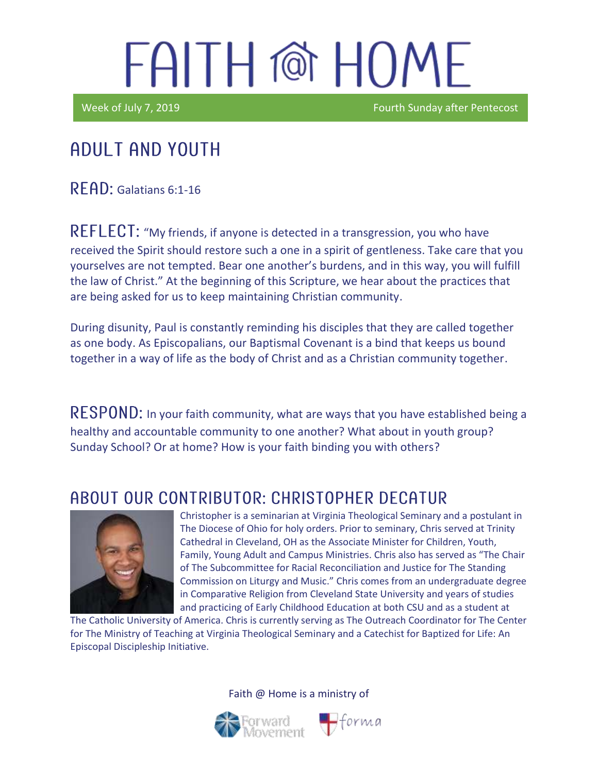## FAITH @ HOME

I

Week of July 7, 2019 **Fourth Sunday after Pentecost** 

## Adult and youth

RFAD: Galatians 6:1-16

REFLECT: "My friends, if anyone is detected in a transgression, you who have received the Spirit should restore such a one in a spirit of gentleness. Take care that you yourselves are not tempted. Bear one another's burdens, and in this way, you will fulfill the law of Christ." At the beginning of this Scripture, we hear about the practices that are being asked for us to keep maintaining Christian community.

During disunity, Paul is constantly reminding his disciples that they are called together as one body. As Episcopalians, our Baptismal Covenant is a bind that keeps us bound together in a way of life as the body of Christ and as a Christian community together.

RESPOND: In your faith community, what are ways that you have established being a healthy and accountable community to one another? What about in youth group? Sunday School? Or at home? How is your faith binding you with others?

### ABOUT OUR CONTRIBUTOR: CHRISTOPHER DECATUR



Christopher is a seminarian at Virginia Theological Seminary and a postulant in The Diocese of Ohio for holy orders. Prior to seminary, Chris served at Trinity Cathedral in Cleveland, OH as the Associate Minister for Children, Youth, Family, Young Adult and Campus Ministries. Chris also has served as "The Chair of The Subcommittee for Racial Reconciliation and Justice for The Standing Commission on Liturgy and Music." Chris comes from an undergraduate degree in Comparative Religion from Cleveland State University and years of studies and practicing of Early Childhood Education at both CSU and as a student at

The Catholic University of America. Chris is currently serving as The Outreach Coordinator for The Center for The Ministry of Teaching at Virginia Theological Seminary and a Catechist for Baptized for Life: An Episcopal Discipleship Initiative.